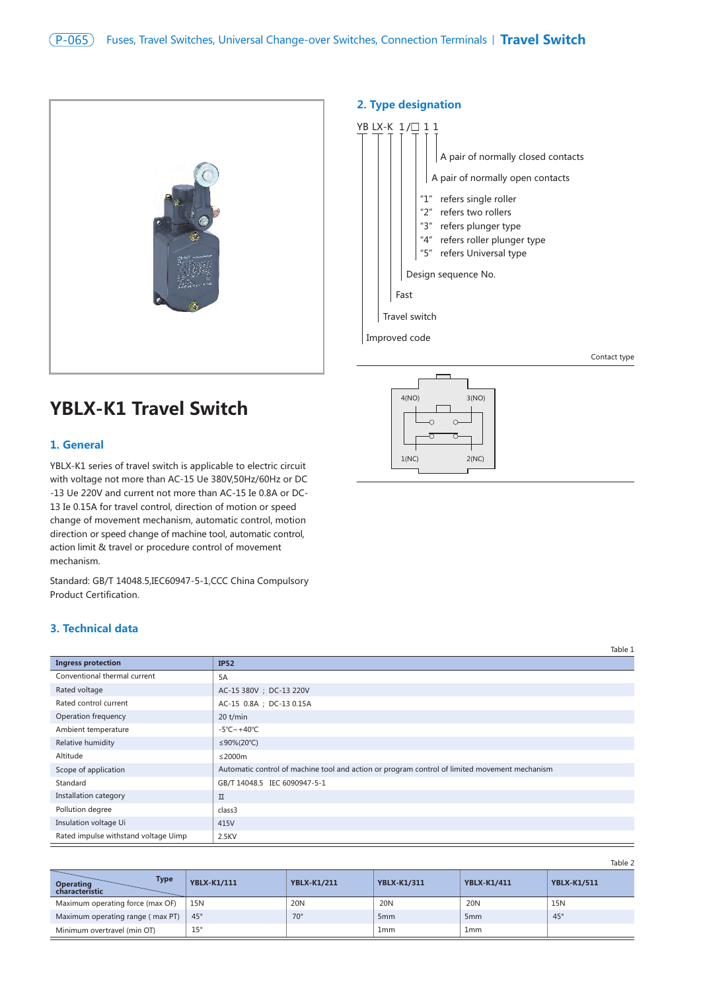

# **YBLX-K1 Travel Switch**

### **1. General**

YBLX-K1 series of travel switch is applicable to electric circuit with voltage not more than AC-15 Ue 380V,50Hz/60Hz or DC -13 Ue 220V and current not more than AC-15 Ie 0.8A or DC-13 Ie 0.15A for travel control, direction of motion or speed change of movement mechanism, automatic control, motion direction or speed change of machine tool, automatic control, action limit & travel or procedure control of movement mechanism.

Standard: GB/T 14048.5,IEC60947-5-1,CCC China Compulsory Product Certification.

## **3. Technical data**

|                                      |                                                                                               | Table 1 |
|--------------------------------------|-----------------------------------------------------------------------------------------------|---------|
| <b>Ingress protection</b>            | <b>IP52</b>                                                                                   |         |
| Conventional thermal current         | 5A                                                                                            |         |
| Rated voltage                        | AC-15 380V ; DC-13 220V                                                                       |         |
| Rated control current                | AC-15 0.8A ; DC-13 0.15A                                                                      |         |
| Operation frequency                  | $20$ t/min                                                                                    |         |
| Ambient temperature                  | $-5^{\circ}$ C ~ +40 $^{\circ}$ C                                                             |         |
| Relative humidity                    | ≤90%(20°C)                                                                                    |         |
| Altitude                             | ≤2000m                                                                                        |         |
| Scope of application                 | Automatic control of machine tool and action or program control of limited movement mechanism |         |
| Standard                             | GB/T 14048.5 IEC 6090947-5-1                                                                  |         |
| Installation category                | $\mathbb I$                                                                                   |         |
| Pollution degree                     | class3                                                                                        |         |
| Insulation voltage Ui                | 415V                                                                                          |         |
| Rated impulse withstand voltage Uimp | 2.5KV                                                                                         |         |

| Type<br><b>Operating</b><br>characteristic | <b>YBLX-K1/111</b> | <b>YBLX-K1/211</b> | <b>YBLX-K1/311</b> | <b>YBLX-K1/411</b> | <b>YBLX-K1/511</b> |
|--------------------------------------------|--------------------|--------------------|--------------------|--------------------|--------------------|
| Maximum operating force (max OF)           | 15N                | 20N                | 20 <sub>N</sub>    | 20 <sub>N</sub>    | 15N                |
| Maximum operating range (max PT)           | $45^\circ$         | $70^\circ$         | 5 <sub>mm</sub>    | 5 <sub>mm</sub>    | $45^{\circ}$       |
| Minimum overtravel (min OT)                | 15°                |                    | 1 <sub>mm</sub>    | 1 <sub>mm</sub>    |                    |

#### **2. Type designation**





Table 2